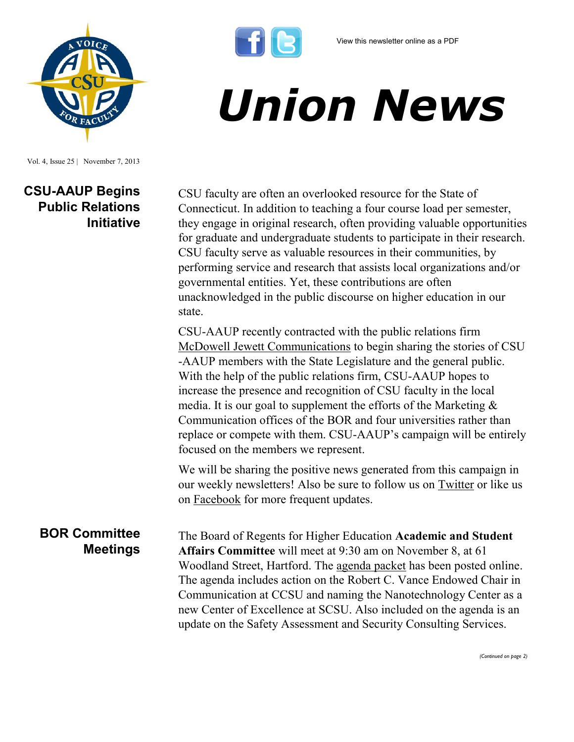

Vol. 4, Issue 25 | November 7, 2013

## **CSU-AAUP Begins Public Relations Initiative**

*Union News*

CSU faculty are often an overlooked resource for the State of Connecticut. In addition to teaching a four course load per semester, they engage in original research, often providing valuable opportunities for graduate and undergraduate students to participate in their research. CSU faculty serve as valuable resources in their communities, by performing service and research that assists local organizations and/or governmental entities. Yet, these contributions are often unacknowledged in the public discourse on higher education in our state.

CSU-AAUP recently contracted with the public relations firm [McDowell Jewett Communications](http://www.mcdowelljewett.com/) to begin sharing the stories of CSU -AAUP members with the State Legislature and the general public. With the help of the public relations firm, CSU-AAUP hopes to increase the presence and recognition of CSU faculty in the local media. It is our goal to supplement the efforts of the Marketing & Communication offices of the BOR and four universities rather than replace or compete with them. CSU-AAUP's campaign will be entirely focused on the members we represent.

We will be sharing the positive news generated from this campaign in our weekly newsletters! Also be sure to follow us on [Twitter](http://twitter.com/#!/csuaaup/) or like us on [Facebook](https://www.facebook.com/pages/CSU-AAUP/112907808749535?ref=hl) for more frequent updates.

**BOR Committee Meetings**

The Board of Regents for Higher Education **Academic and Student Affairs Committee** will meet at 9:30 am on November 8, at 61 Woodland Street, Hartford. The [agenda packet](http://www.ct.edu/images/uploads/ASA-Agenda-11-8-2013.pdf?113513) has been posted online. The agenda includes action on the Robert C. Vance Endowed Chair in Communication at CCSU and naming the Nanotechnology Center as a new Center of Excellence at SCSU. Also included on the agenda is an update on the Safety Assessment and Security Consulting Services.